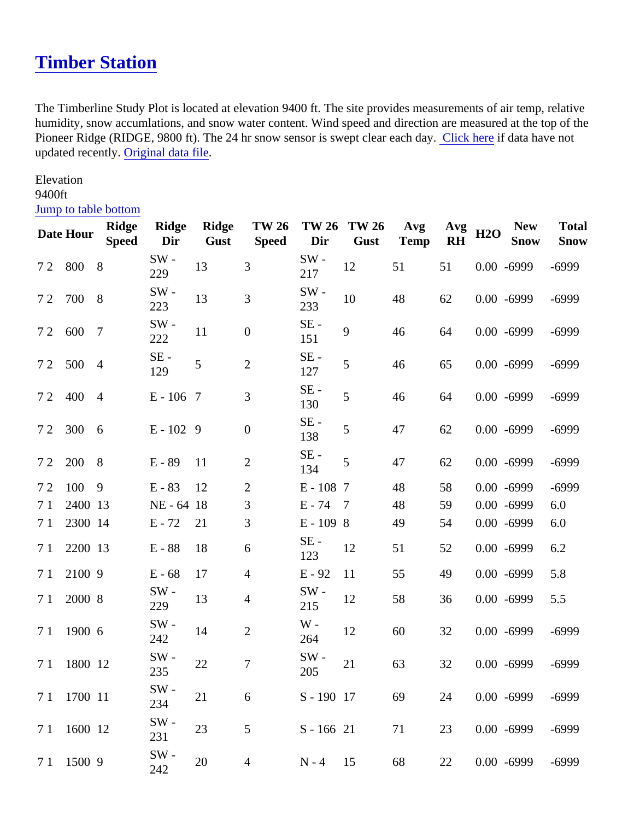## Timber Station

The Timberline Study Plot is located at elevation 9400 ft. The site provides measurements of air temp, relative humidity, snow accumlations, and snow water content. Wind speed and direction are measured at the top of t Pioneer Ridge (RIDGE, 9800 ft). The 24 hr snow sensor is swept clear each id ay hereif data have not updated recently Original data file

Elevation 9400ft

## [Jump to table botto](#page-1-0)m

|                | Date Hour   | Ridge<br>Speed | Ridge<br>Dir | Ridge<br>Gust | <b>TW 26</b><br>Speed | <b>TW 26</b><br>Dir | <b>TW 26</b><br>Gust | Avg<br>Temp | Avg<br><b>RH</b> | <b>H2O</b> | <b>New</b><br>Snow | Total<br>Snow |
|----------------|-------------|----------------|--------------|---------------|-----------------------|---------------------|----------------------|-------------|------------------|------------|--------------------|---------------|
|                | 72 800 8    |                | SW-<br>229   | 13            | 3                     | SW-<br>217          | 12                   | 51          | 51               |            | $0.00 - 6999$      | $-6999$       |
|                | 72 700 8    |                | SW-<br>223   | 13            | 3                     | SW-<br>233          | 10                   | 48          | 62               |            | $0.00 - 6999$      | $-6999$       |
|                | 7 2 600 7   |                | SW-<br>222   | 11            | $\pmb{0}$             | SE -<br>151         | $\boldsymbol{9}$     | 46          | 64               |            | $0.00 - 6999$      | $-6999$       |
|                | 7 2 500 4   |                | SE -<br>129  | 5             | $\overline{2}$        | SE -<br>127         | 5                    | 46          | 65               |            | $0.00 - 6999$      | $-6999$       |
|                | 7 2 4 0 4   |                | $E - 1067$   |               | 3                     | SE -<br>130         | 5                    | 46          | 64               |            | $0.00 - 6999$      | $-6999$       |
|                | 72 300 6    |                | $E - 1029$   |               | $\boldsymbol{0}$      | SE-<br>138          | 5                    | 47          | 62               |            | $0.00 - 6999$      | $-6999$       |
|                | 7 2 2 0 0   | - 8            | $E - 89$     | 11            | $\overline{2}$        | SE-<br>134          | 5                    | 47          | 62               |            | $0.00 - 6999$      | $-6999$       |
| 72             | 100         | -9             | $E - 83$     | 12            | 2                     | $E - 1087$          |                      | 48          | 58               |            | $0.00 - 6999$      | $-6999$       |
| 7 <sub>1</sub> | 2400 13     |                | NE - 64 18   |               | 3                     | $E - 74$ 7          |                      | 48          | 59               |            | $0.00 - 6999$      | 6.0           |
| 7 <sub>1</sub> | 2300 14     |                | $E - 72$     | 21            | 3                     | $E - 1098$          |                      | 49          | 54               |            | $0.00 - 6999$      | 6.0           |
| 7 <sub>1</sub> | 2200 13     |                | $E - 88$     | 18            | 6                     | SE -<br>123         | 12                   | 51          | 52               |            | $0.00 - 6999$      | 6.2           |
| 7 <sub>1</sub> | 21009       |                | $E - 68$     | 17            | 4                     | $E - 92$            | 11                   | 55          | 49               |            | $0.00 - 6999$      | 5.8           |
| 7 <sub>1</sub> | 2000 8      |                | SW-<br>229   | 13            | 4                     | SW-<br>215          | 12                   | 58          | 36               |            | $0.00 - 6999$      | 5.5           |
| 71             | 1900 6      |                | SW-<br>242   | 14            | $\overline{2}$        | $W -$<br>264        | 12                   | 60          | 32               |            | $0.00 - 6999$      | $-6999$       |
| 71             | 1800 12     |                | SW-<br>235   | 22            | $\overline{7}$        | SW-<br>205          | 21                   | 63          | 32               |            | $0.00 - 6999$      | $-6999$       |
|                | 7 1 1700 11 |                | SW -<br>234  | 21            | $\,6$                 | S - 190 17          |                      | 69          | 24               |            | $0.00 - 6999$      | $-6999$       |
| 71             | 1600 12     |                | SW-<br>231   | 23            | 5                     | $S - 16621$         |                      | 71          | 23               |            | $0.00 - 6999$      | $-6999$       |
| 71             | 1500 9      |                | SW-<br>242   | 20            | 4                     | $N - 4$ 15          |                      | 68          | 22               |            | $0.00 - 6999$      | $-6999$       |